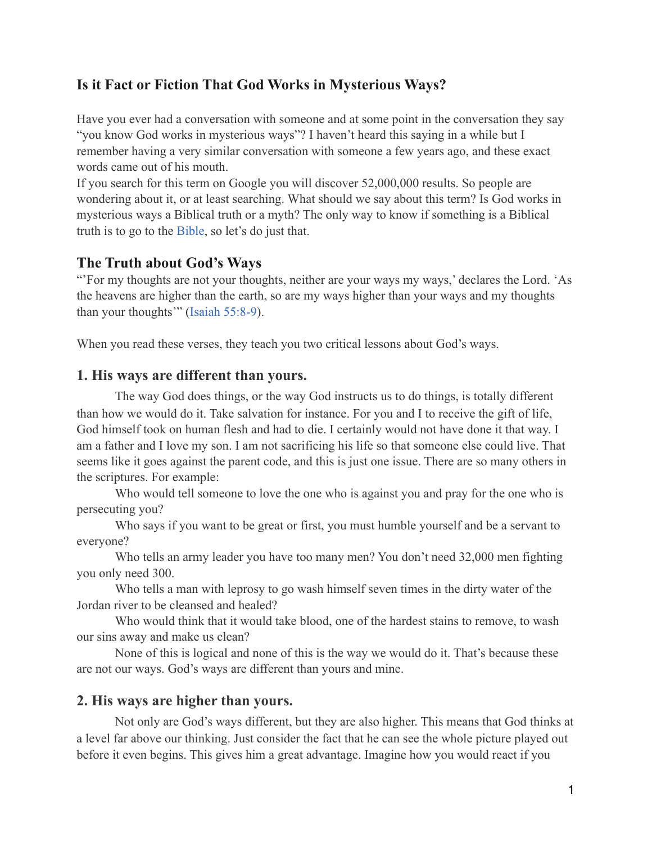## **Is it Fact or Fiction That God Works in Mysterious Ways?**

Have you ever had a conversation with someone and at some point in the conversation they say "you know God works in mysterious ways"? I haven't heard this saying in a while but I remember having a very similar conversation with someone a few years ago, and these exact words came out of his mouth.

If you search for this term on Google you will discover 52,000,000 results. So people are wondering about it, or at least searching. What should we say about this term? Is God works in mysterious ways a Biblical truth or a myth? The only way to know if something is a Biblical truth is to go to the [Bible,](https://www.biblestudytools.com/) so let's do just that.

### **The Truth about God's Ways**

"'For my thoughts are not your thoughts, neither are your ways my ways,' declares the Lord. 'As the heavens are higher than the earth, so are my ways higher than your ways and my thoughts than your thoughts'" [\(Isaiah 55:8-9](https://www.biblestudytools.com/isaiah/passage/?q=isaiah+55:8-9)).

When you read these verses, they teach you two critical lessons about God's ways.

#### **1. His ways are different than yours.**

The way God does things, or the way God instructs us to do things, is totally different than how we would do it. Take salvation for instance. For you and I to receive the gift of life, God himself took on human flesh and had to die. I certainly would not have done it that way. I am a father and I love my son. I am not sacrificing his life so that someone else could live. That seems like it goes against the parent code, and this is just one issue. There are so many others in the scriptures. For example:

 Who would tell someone to love the one who is against you and pray for the one who is persecuting you?

 Who says if you want to be great or first, you must humble yourself and be a servant to everyone?

 Who tells an army leader you have too many men? You don't need 32,000 men fighting you only need 300.

 Who tells a man with leprosy to go wash himself seven times in the dirty water of the Jordan river to be cleansed and healed?

 Who would think that it would take blood, one of the hardest stains to remove, to wash our sins away and make us clean?

 None of this is logical and none of this is the way we would do it. That's because these are not our ways. God's ways are different than yours and mine.

#### **2. His ways are higher than yours.**

Not only are God's ways different, but they are also higher. This means that God thinks at a level far above our thinking. Just consider the fact that he can see the whole picture played out before it even begins. This gives him a great advantage. Imagine how you would react if you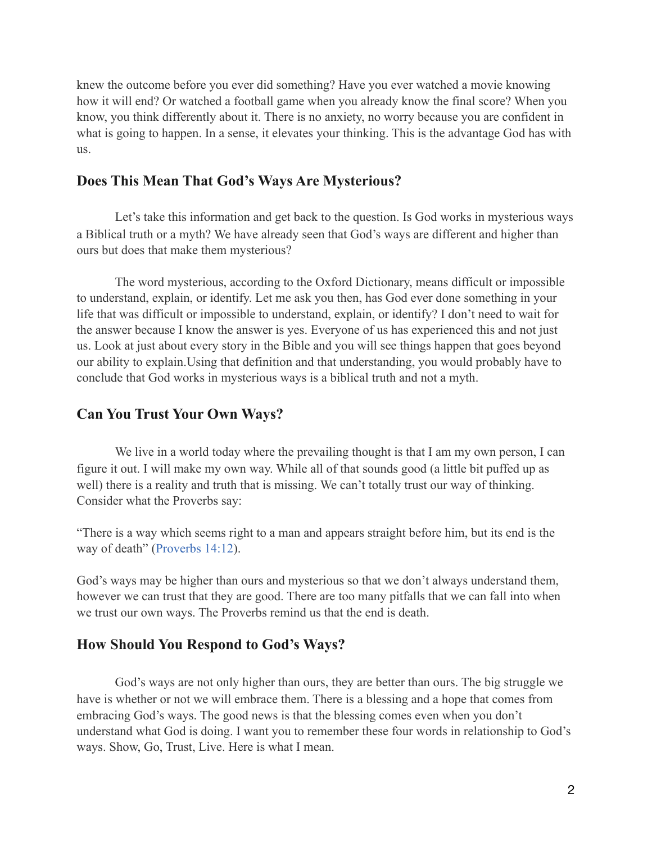knew the outcome before you ever did something? Have you ever watched a movie knowing how it will end? Or watched a football game when you already know the final score? When you know, you think differently about it. There is no anxiety, no worry because you are confident in what is going to happen. In a sense, it elevates your thinking. This is the advantage God has with us.

## **Does This Mean That God's Ways Are Mysterious?**

Let's take this information and get back to the question. Is God works in mysterious ways a Biblical truth or a myth? We have already seen that God's ways are different and higher than ours but does that make them mysterious?

 The word mysterious, according to the Oxford Dictionary, means difficult or impossible to understand, explain, or identify. Let me ask you then, has God ever done something in your life that was difficult or impossible to understand, explain, or identify? I don't need to wait for the answer because I know the answer is yes. Everyone of us has experienced this and not just us. Look at just about every story in the Bible and you will see things happen that goes beyond our ability to explain.Using that definition and that understanding, you would probably have to conclude that God works in mysterious ways is a biblical truth and not a myth.

#### **Can You Trust Your Own Ways?**

We live in a world today where the prevailing thought is that I am my own person, I can figure it out. I will make my own way. While all of that sounds good (a little bit puffed up as well) there is a reality and truth that is missing. We can't totally trust our way of thinking. Consider what the Proverbs say:

"There is a way which seems right to a man and appears straight before him, but its end is the way of death" [\(Proverbs 14:12](https://www.biblestudytools.com/proverbs/14-12.html)).

God's ways may be higher than ours and mysterious so that we don't always understand them, however we can trust that they are good. There are too many pitfalls that we can fall into when we trust our own ways. The Proverbs remind us that the end is death.

#### **How Should You Respond to God's Ways?**

God's ways are not only higher than ours, they are better than ours. The big struggle we have is whether or not we will embrace them. There is a blessing and a hope that comes from embracing God's ways. The good news is that the blessing comes even when you don't understand what God is doing. I want you to remember these four words in relationship to God's ways. Show, Go, Trust, Live. Here is what I mean.